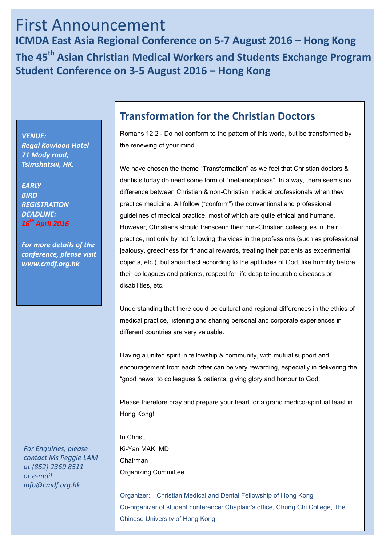# First Announcement **ICMDA East Asia Regional Conference on 5-7 August 2016 – Hong Kong The 45th Asian Christian Medical Workers and Students Exchange Program Student Conference on 3-5 August 2016 – Hong Kong**

*VENUE: Regal Kowloon Hotel 71 Mody road, Tsimshatsui, HK.*

*EARLY BIRD REGISTRATION DEADLINE: 16 th April 2016*

*For more details of the conference, please visit www.cmdf.org.hk*

**Transformation for the Christian Doctors**

Romans 12:2 - Do not conform to the pattern of this world, but be transformed by the renewing of your mind.

We have chosen the theme "Transformation" as we feel that Christian doctors & dentists today do need some form of "metamorphosis". In a way, there seems no difference between Christian & non-Christian medical professionals when they practice medicine. All follow ("conform") the conventional and professional guidelines of medical practice, most of which are quite ethical and humane. However, Christians should transcend their non-Christian colleagues in their practice, not only by not following the vices in the professions (such as professional jealousy, greediness for financial rewards, treating their patients as experimental objects, etc.), but should act according to the aptitudes of God, like humility before their colleagues and patients, respect for life despite incurable diseases or disabilities, etc.

Understanding that there could be cultural and regional differences in the ethics of medical practice, listening and sharing personal and corporate experiences in different countries are very valuable.

Having a united spirit in fellowship & community, with mutual support and encouragement from each other can be very rewarding, especially in delivering the "good news" to colleagues & patients, giving glory and honour to God.

Please therefore pray and prepare your heart for a grand medico-spiritual feast in Hong Kong!

In Christ, Ki-Yan MAK, MD Chairman Organizing Committee

Organizer: Christian Medical and Dental Fellowship of Hong Kong Co-organizer of student conference: Chaplain's office, Chung Chi College, The Chinese University of Hong Kong

*For Enquiries, please contact Ms Peggie LAM at (852) 2369 8511 or e-mail info@cmdf.org.hk*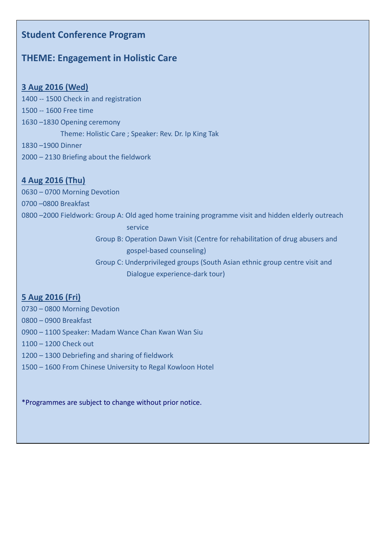## **Student Conference Program**

## **THEME: Engagement in Holistic Care**

## **3 Aug 2016 (Wed)**

- 1400 -- 1500 Check in and registration 1500 -- 1600 Free time 1630 –1830 Opening ceremony Theme: Holistic Care ; Speaker: Rev. Dr. Ip King Tak 1830 –1900 Dinner
- 2000 2130 Briefing about the fieldwork

## **4 Aug 2016 (Thu)**

0630 – 0700 Morning Devotion 0700 –0800 Breakfast 0800 –2000 Fieldwork: Group A: Old aged home training programme visit and hidden elderly outreach service Group B: Operation Dawn Visit (Centre for rehabilitation of drug abusers and gospel-based counseling)

> Group C: Underprivileged groups (South Asian ethnic group centre visit and Dialogue experience-dark tour)

## **5 Aug 2016 (Fri)**

0730 – 0800 Morning Devotion

- 0800 0900 Breakfast
- 0900 1100 Speaker: Madam Wance Chan Kwan Wan Siu
- 1100 1200 Check out
- 1200 1300 Debriefing and sharing of fieldwork
- 1500 1600 From Chinese University to Regal Kowloon Hotel

\*Programmes are subject to change without prior notice.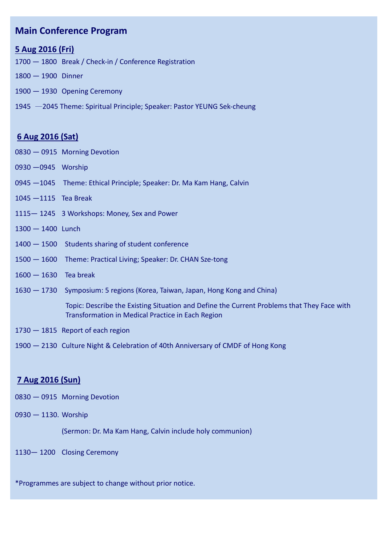## **Main Conference Program**

## **5 Aug 2016 (Fri)**

- 1800 Break / Check-in / Conference Registration
- 1900 Dinner
- 1900 1930 Opening Ceremony
- —2045 Theme: Spiritual Principle; Speaker: Pastor YEUNG Sek-cheung

## **6 Aug 2016 (Sat)**

- 0915 Morning Devotion
- —0945 Worship
- —1045 Theme: Ethical Principle; Speaker: Dr. Ma Kam Hang, Calvin
- —1115 Tea Break
- 1245 3 Workshops: Money, Sex and Power
- 1400 Lunch
- 1500 Students sharing of student conference
- 1600 Theme: Practical Living; Speaker: Dr. CHAN Sze-tong
- 1630 Tea break
- 1730 Symposium: 5 regions (Korea, Taiwan, Japan, Hong Kong and China)

 Topic: Describe the Existing Situation and Define the Current Problems that They Face with Transformation in Medical Practice in Each Region

- 1815 Report of each region
- 2130 Culture Night & Celebration of 40th Anniversary of CMDF of Hong Kong

## **7 Aug 2016 (Sun)**

- 0915 Morning Devotion
- 1130. Worship

(Sermon: Dr. Ma Kam Hang, Calvin include holy communion)

— 1200 Closing Ceremony

\*Programmes are subject to change without prior notice.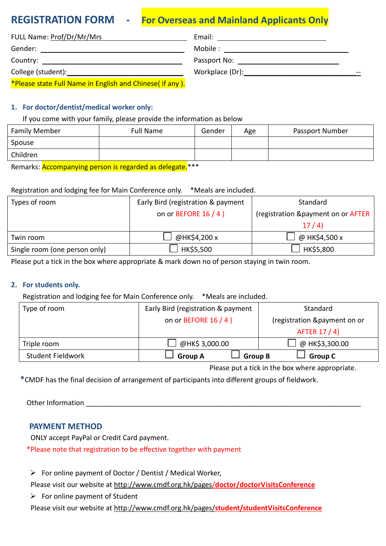## **REGISTRATION FORM - For Overseas and Mainland Applicants Only**

| FULL Name: Prof/Dr/Mr/Mrs                                                                                                                                                                                                     | Email:                                                                                                                                                                                                                         |
|-------------------------------------------------------------------------------------------------------------------------------------------------------------------------------------------------------------------------------|--------------------------------------------------------------------------------------------------------------------------------------------------------------------------------------------------------------------------------|
| Gender: _____________________________                                                                                                                                                                                         | Mobile : ________________________                                                                                                                                                                                              |
|                                                                                                                                                                                                                               | Passport No: the contract of the contract of the contract of the contract of the contract of the contract of the contract of the contract of the contract of the contract of the contract of the contract of the contract of t |
| College (student): Notified that the college of the college of the collection of the collection of the collection of the collection of the collection of the collection of the collection of the collection of the collection | Workplace (Dr): North and the United States of the United States of the United States of the United States of the U                                                                                                            |
| *Please state Full Name in English and Chinese( if any ).                                                                                                                                                                     |                                                                                                                                                                                                                                |

### **1. For doctor/dentist/medical worker only:**

#### If you come with your family, please provide the information as below

| <b>Family Member</b> | Full Name | Gender | Age | Passport Number |
|----------------------|-----------|--------|-----|-----------------|
| Spouse               |           |        |     |                 |
| Children             |           |        |     |                 |

Remarks: **Accompanying person is regarded as delegate.**\*\*\*

### Registration and lodging fee for Main Conference only. \*Meals are included.

| Types of room                 | Early Bird (registration & payment | Standard                            |
|-------------------------------|------------------------------------|-------------------------------------|
|                               | on or BEFORE $16/4$ )              | (registration & payment on or AFTER |
|                               |                                    | 17/4                                |
| Twin room                     | @HK\$4,200 x                       | @ HK\$4,500 x                       |
| Single room (one person only) | HK\$5,500                          | HK\$5,800                           |

Please put a tick in the box where appropriate & mark down no of person staying in twin room.

#### **2. For students only.**

Registration and lodging fee for Main Conference only. \*Meals are included.

| Type of room             | Early Bird (registration & payment | Standard                     |
|--------------------------|------------------------------------|------------------------------|
|                          | on or BEFORE 16 / 4 )              | (registration &payment on or |
|                          |                                    | AFTER 17 / 4)                |
| Triple room              | @HK\$ 3,000.00                     | @ HK\$3,300.00               |
| <b>Student Fieldwork</b> | <b>Group A</b><br><b>Group B</b>   | <b>Group C</b>               |

Please put a tick in the box where appropriate.

**\***CMDF has the final decision of arrangement of participants into different groups of fieldwork.

Other Information

## **PAYMENT METHOD**

ONLY accept PayPal or Credit Card payment.

\*Please note that registration to be effective together with payment

 $\triangleright$  For online payment of Doctor / Dentist / Medical Worker,

Please visit our website at [http://www.cmdf.org.hk/pages/](http://www.cmdf.org.hk/pages/doctor/doctorVisitsConference)**doctor/doctorVisitsConference**

 $\triangleright$  For online payment of Student

Please visit our website at http://www.cmdf.org.hk/pages/**[student/studentVisitsConference](http://www.cmdf.org.hk/pages/student/studentVisitsConference)**